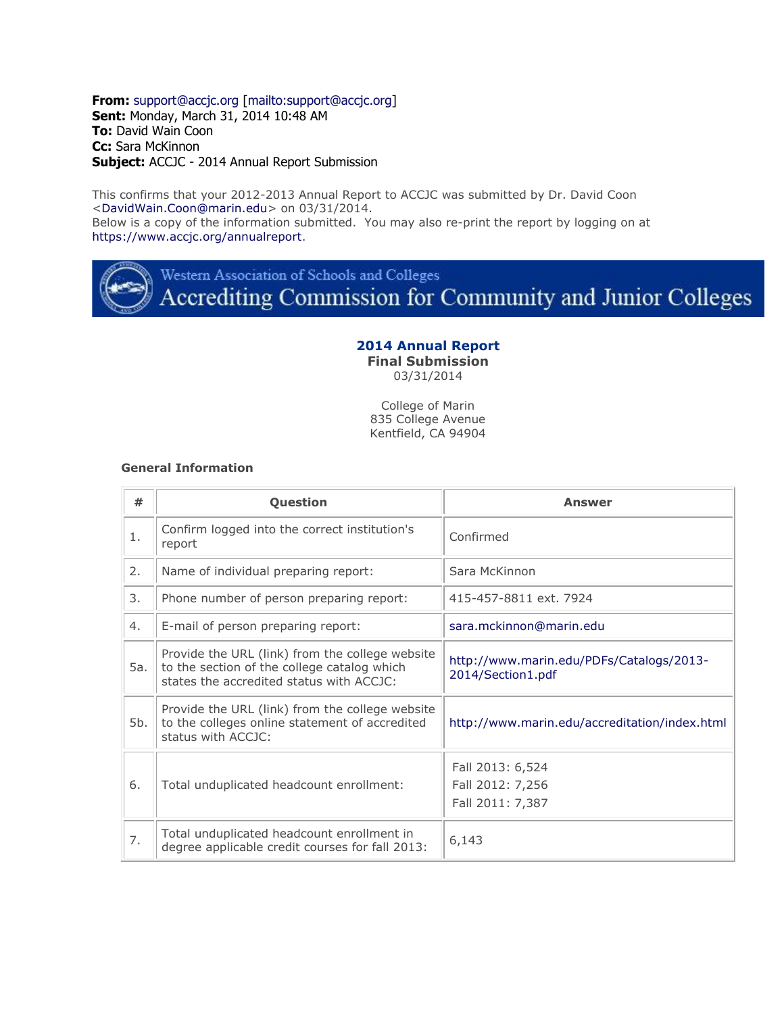**From:** [support@accjc.org](mailto:support@accjc.org) [\[mailto:support@accjc.org\]](mailto:support@accjc.org) **Sent:** Monday, March 31, 2014 10:48 AM **To:** David Wain Coon **Cc:** Sara McKinnon **Subject:** ACCJC - 2014 Annual Report Submission

This confirms that your 2012-2013 Annual Report to ACCJC was submitted by Dr. David Coon [<DavidWain.Coon@marin.edu>](mailto:DavidWain.Coon@marin.edu) on 03/31/2014. Below is a copy of the information submitted. You may also re-print the report by logging on at [https://www.accjc.org/annualreport.](https://www.accjc.org/annualreport)



Western Association of Schools and Colleges

Accrediting Commission for Community and Junior Colleges

# **2014 Annual Report**

**Final Submission**

03/31/2014

College of Marin 835 College Avenue Kentfield, CA 94904

#### **General Information**

| #   | Question                                                                                                                                   | Answer                                                        |
|-----|--------------------------------------------------------------------------------------------------------------------------------------------|---------------------------------------------------------------|
| 1.  | Confirm logged into the correct institution's<br>report                                                                                    | Confirmed                                                     |
| 2.  | Name of individual preparing report:                                                                                                       | Sara McKinnon                                                 |
| 3.  | Phone number of person preparing report:                                                                                                   | 415-457-8811 ext. 7924                                        |
| 4.  | E-mail of person preparing report:                                                                                                         | sara.mckinnon@marin.edu                                       |
| 5a. | Provide the URL (link) from the college website<br>to the section of the college catalog which<br>states the accredited status with ACCJC: | http://www.marin.edu/PDFs/Catalogs/2013-<br>2014/Section1.pdf |
| 5b. | Provide the URL (link) from the college website<br>to the colleges online statement of accredited<br>status with ACCJC:                    | http://www.marin.edu/accreditation/index.html                 |
| 6.  | Total unduplicated headcount enrollment:                                                                                                   | Fall 2013: 6,524<br>Fall 2012: 7,256<br>Fall 2011: 7,387      |
| 7.  | Total unduplicated headcount enrollment in<br>degree applicable credit courses for fall 2013:                                              | 6,143                                                         |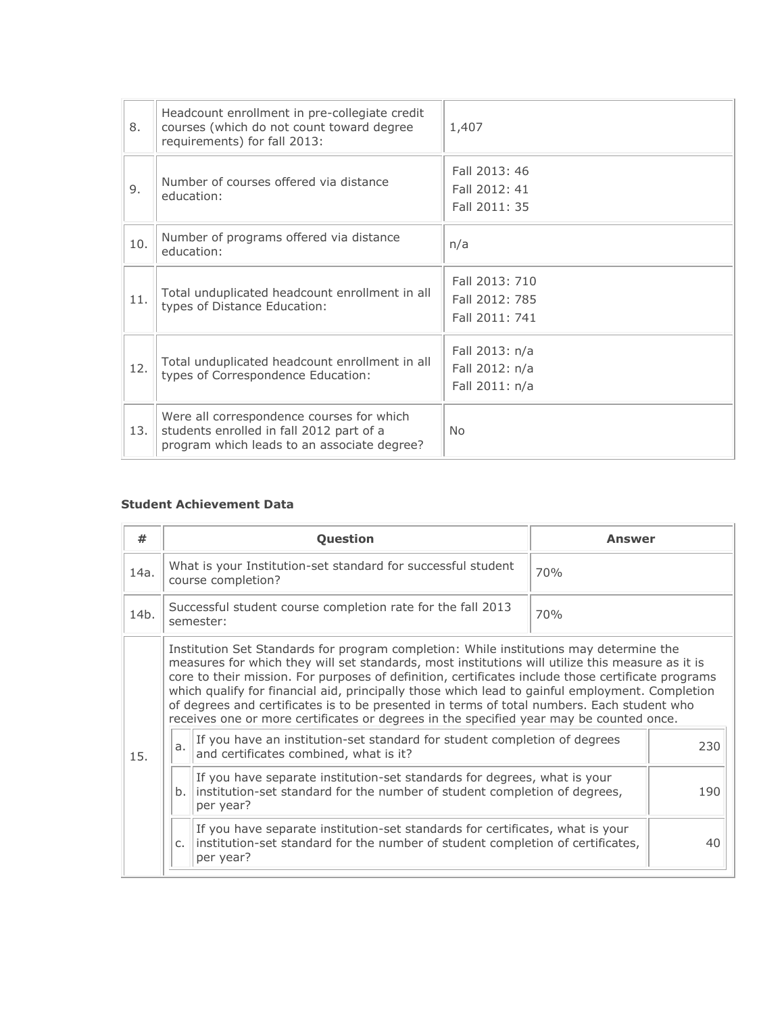| 8.  | Headcount enrollment in pre-collegiate credit<br>courses (which do not count toward degree<br>requirements) for fall 2013:           | 1,407                                              |
|-----|--------------------------------------------------------------------------------------------------------------------------------------|----------------------------------------------------|
| 9.  | Number of courses offered via distance<br>education:                                                                                 | Fall 2013: 46<br>Fall 2012: 41<br>Fall 2011: 35    |
| 10. | Number of programs offered via distance<br>education:                                                                                | n/a                                                |
| 11. | Total unduplicated headcount enrollment in all<br>types of Distance Education:                                                       | Fall 2013: 710<br>Fall 2012: 785<br>Fall 2011: 741 |
| 12. | Total unduplicated headcount enrollment in all<br>types of Correspondence Education:                                                 | Fall 2013: n/a<br>Fall 2012: n/a<br>Fall 2011: n/a |
| 13. | Were all correspondence courses for which<br>students enrolled in fall 2012 part of a<br>program which leads to an associate degree? | <b>No</b>                                          |

#### **Student Achievement Data**

| #    |                                                                                 | Question                                                                                                                                                                                                                                                                                                                                                                                                                                                                                                                                                                                     | Answer |
|------|---------------------------------------------------------------------------------|----------------------------------------------------------------------------------------------------------------------------------------------------------------------------------------------------------------------------------------------------------------------------------------------------------------------------------------------------------------------------------------------------------------------------------------------------------------------------------------------------------------------------------------------------------------------------------------------|--------|
| 14a. |                                                                                 | What is your Institution-set standard for successful student<br>course completion?                                                                                                                                                                                                                                                                                                                                                                                                                                                                                                           | 70%    |
| 14b. | Successful student course completion rate for the fall 2013<br>70%<br>semester: |                                                                                                                                                                                                                                                                                                                                                                                                                                                                                                                                                                                              |        |
|      |                                                                                 | Institution Set Standards for program completion: While institutions may determine the<br>measures for which they will set standards, most institutions will utilize this measure as it is<br>core to their mission. For purposes of definition, certificates include those certificate programs<br>which qualify for financial aid, principally those which lead to gainful employment. Completion<br>of degrees and certificates is to be presented in terms of total numbers. Each student who<br>receives one or more certificates or degrees in the specified year may be counted once. |        |
| 15.  | a.                                                                              | If you have an institution-set standard for student completion of degrees<br>and certificates combined, what is it?                                                                                                                                                                                                                                                                                                                                                                                                                                                                          | 230    |
|      | b.                                                                              | If you have separate institution-set standards for degrees, what is your<br>institution-set standard for the number of student completion of degrees,<br>per year?                                                                                                                                                                                                                                                                                                                                                                                                                           | 190    |
|      | $C_{1}$                                                                         | If you have separate institution-set standards for certificates, what is your<br>institution-set standard for the number of student completion of certificates,<br>per year?                                                                                                                                                                                                                                                                                                                                                                                                                 | 40     |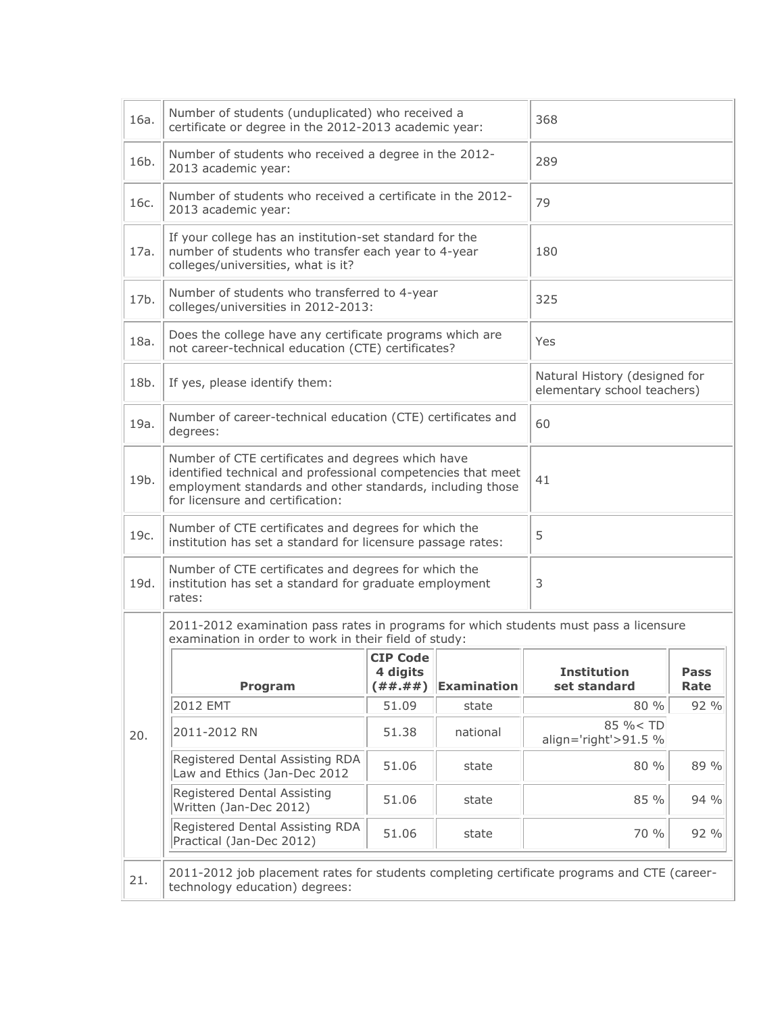| 16a. | Number of students (unduplicated) who received a<br>certificate or degree in the 2012-2013 academic year:                                                                                                          |                                              |                    | 368                                                          |              |
|------|--------------------------------------------------------------------------------------------------------------------------------------------------------------------------------------------------------------------|----------------------------------------------|--------------------|--------------------------------------------------------------|--------------|
| 16b. | Number of students who received a degree in the 2012-<br>2013 academic year:                                                                                                                                       |                                              |                    | 289                                                          |              |
| 16c. | Number of students who received a certificate in the 2012-<br>2013 academic year:                                                                                                                                  |                                              |                    | 79                                                           |              |
| 17a. | If your college has an institution-set standard for the<br>number of students who transfer each year to 4-year<br>colleges/universities, what is it?                                                               |                                              |                    | 180                                                          |              |
| 17b. | Number of students who transferred to 4-year<br>colleges/universities in 2012-2013:                                                                                                                                |                                              |                    | 325                                                          |              |
| 18a. | Does the college have any certificate programs which are<br>not career-technical education (CTE) certificates?                                                                                                     |                                              |                    | Yes                                                          |              |
| 18b. | If yes, please identify them:                                                                                                                                                                                      |                                              |                    | Natural History (designed for<br>elementary school teachers) |              |
| 19a. | Number of career-technical education (CTE) certificates and<br>degrees:                                                                                                                                            |                                              |                    | 60                                                           |              |
| 19b. | Number of CTE certificates and degrees which have<br>identified technical and professional competencies that meet<br>employment standards and other standards, including those<br>for licensure and certification: |                                              |                    | 41                                                           |              |
| 19c. | Number of CTE certificates and degrees for which the<br>institution has set a standard for licensure passage rates:                                                                                                |                                              |                    | 5                                                            |              |
| 19d. | Number of CTE certificates and degrees for which the<br>institution has set a standard for graduate employment<br>rates:                                                                                           |                                              |                    | 3                                                            |              |
|      | 2011-2012 examination pass rates in programs for which students must pass a licensure<br>examination in order to work in their field of study:                                                                     |                                              |                    |                                                              |              |
|      | Program                                                                                                                                                                                                            | <b>CIP Code</b><br>4 digits<br>( # # . # # ) | <b>Examination</b> | <b>Institution</b><br>set standard                           | Pass<br>Rate |
|      | 2012 EMT                                                                                                                                                                                                           | 51.09                                        | state              | 80 %                                                         | 92 %         |
| 20.  | 2011-2012 RN                                                                                                                                                                                                       | 51.38                                        | national           | 85 % < TD<br>align='right'>91.5 %                            |              |
|      | Registered Dental Assisting RDA<br>Law and Ethics (Jan-Dec 2012                                                                                                                                                    | 51.06                                        | state              | 80 %                                                         | 89 %         |
|      | Registered Dental Assisting<br>Written (Jan-Dec 2012)                                                                                                                                                              | 51.06                                        | state              | 85 %                                                         | 94 %         |
|      | Registered Dental Assisting RDA<br>Practical (Jan-Dec 2012)                                                                                                                                                        | 51.06                                        | state              | 70 %                                                         | 92 %         |
| 21.  | 2011-2012 job placement rates for students completing certificate programs and CTE (career-<br>technology education) degrees:                                                                                      |                                              |                    |                                                              |              |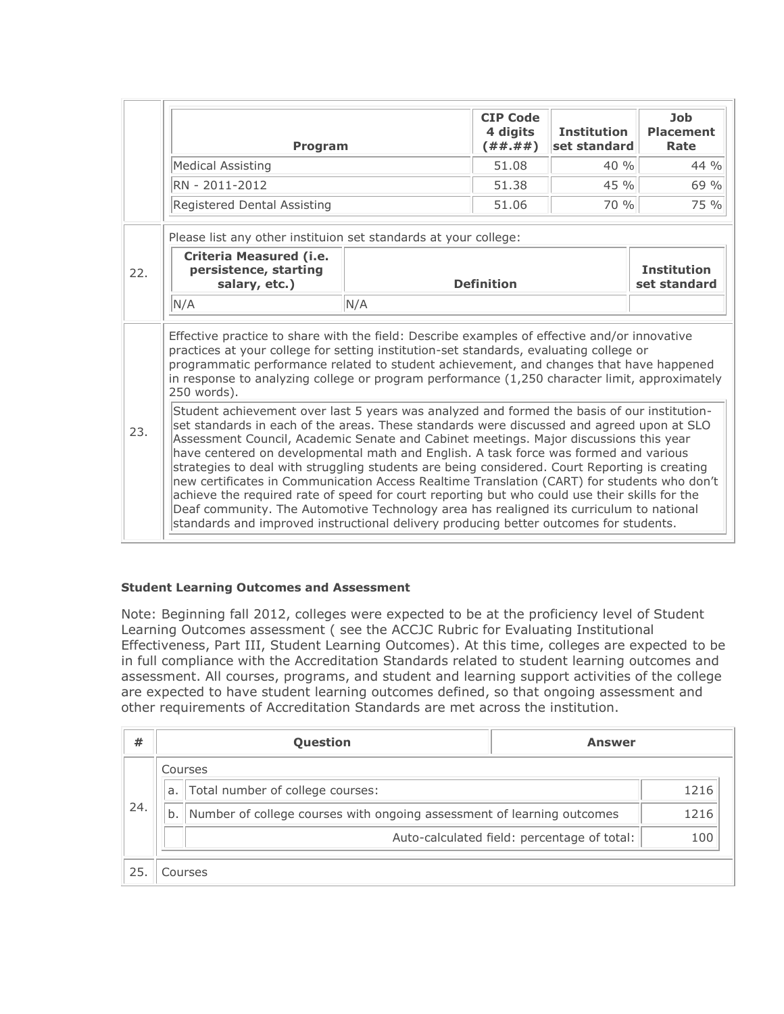|                                                                                                                                                                                                                                                                                                                                                                                                                                                                                                                                                                                                                                                                                                                                                                                                                                                                       | Program                                                                                                                                                                                                                                                                                                                                                                                             |                   | <b>CIP Code</b><br>4 digits<br>( # # . # # ) | <b>Institution</b><br>set standard | <b>Job</b><br><b>Placement</b><br>Rate |
|-----------------------------------------------------------------------------------------------------------------------------------------------------------------------------------------------------------------------------------------------------------------------------------------------------------------------------------------------------------------------------------------------------------------------------------------------------------------------------------------------------------------------------------------------------------------------------------------------------------------------------------------------------------------------------------------------------------------------------------------------------------------------------------------------------------------------------------------------------------------------|-----------------------------------------------------------------------------------------------------------------------------------------------------------------------------------------------------------------------------------------------------------------------------------------------------------------------------------------------------------------------------------------------------|-------------------|----------------------------------------------|------------------------------------|----------------------------------------|
|                                                                                                                                                                                                                                                                                                                                                                                                                                                                                                                                                                                                                                                                                                                                                                                                                                                                       | Medical Assisting                                                                                                                                                                                                                                                                                                                                                                                   |                   | 51.08                                        | 40 %                               | $44\%$                                 |
|                                                                                                                                                                                                                                                                                                                                                                                                                                                                                                                                                                                                                                                                                                                                                                                                                                                                       | RN - 2011-2012                                                                                                                                                                                                                                                                                                                                                                                      |                   | 51.38                                        | 45 %                               | 69 %                                   |
|                                                                                                                                                                                                                                                                                                                                                                                                                                                                                                                                                                                                                                                                                                                                                                                                                                                                       | Registered Dental Assisting                                                                                                                                                                                                                                                                                                                                                                         |                   | 51.06                                        | 70 %                               | 75 %                                   |
|                                                                                                                                                                                                                                                                                                                                                                                                                                                                                                                                                                                                                                                                                                                                                                                                                                                                       | Please list any other instituion set standards at your college:                                                                                                                                                                                                                                                                                                                                     |                   |                                              |                                    |                                        |
| 22.                                                                                                                                                                                                                                                                                                                                                                                                                                                                                                                                                                                                                                                                                                                                                                                                                                                                   | Criteria Measured (i.e.<br>persistence, starting<br>salary, etc.)                                                                                                                                                                                                                                                                                                                                   | <b>Definition</b> |                                              | <b>Institution</b><br>set standard |                                        |
|                                                                                                                                                                                                                                                                                                                                                                                                                                                                                                                                                                                                                                                                                                                                                                                                                                                                       | N/A                                                                                                                                                                                                                                                                                                                                                                                                 | N/A               |                                              |                                    |                                        |
|                                                                                                                                                                                                                                                                                                                                                                                                                                                                                                                                                                                                                                                                                                                                                                                                                                                                       | Effective practice to share with the field: Describe examples of effective and/or innovative<br>practices at your college for setting institution-set standards, evaluating college or<br>programmatic performance related to student achievement, and changes that have happened<br>in response to analyzing college or program performance $(1,250$ character limit, approximately<br>250 words). |                   |                                              |                                    |                                        |
| Student achievement over last 5 years was analyzed and formed the basis of our institution-<br>set standards in each of the areas. These standards were discussed and agreed upon at SLO<br>23.<br>Assessment Council, Academic Senate and Cabinet meetings. Major discussions this year<br>have centered on developmental math and English. A task force was formed and various<br>strategies to deal with struggling students are being considered. Court Reporting is creating<br>new certificates in Communication Access Realtime Translation (CART) for students who don't<br>achieve the required rate of speed for court reporting but who could use their skills for the<br>Deaf community. The Automotive Technology area has realigned its curriculum to national<br>standards and improved instructional delivery producing better outcomes for students. |                                                                                                                                                                                                                                                                                                                                                                                                     |                   |                                              |                                    |                                        |

## **Student Learning Outcomes and Assessment**

Note: Beginning fall 2012, colleges were expected to be at the proficiency level of Student Learning Outcomes assessment ( see the ACCJC Rubric for Evaluating Institutional Effectiveness, Part III, Student Learning Outcomes). At this time, colleges are expected to be in full compliance with the Accreditation Standards related to student learning outcomes and assessment. All courses, programs, and student and learning support activities of the college are expected to have student learning outcomes defined, so that ongoing assessment and other requirements of Accreditation Standards are met across the institution.

| #   |                                        | <b>Question</b>                                                        | <b>Answer</b>                               |      |
|-----|----------------------------------------|------------------------------------------------------------------------|---------------------------------------------|------|
|     |                                        | Courses                                                                |                                             |      |
|     | Total number of college courses:<br>a. |                                                                        |                                             | 1216 |
| 24. | b.                                     | Number of college courses with ongoing assessment of learning outcomes |                                             | 1216 |
|     |                                        |                                                                        | Auto-calculated field: percentage of total: | 100  |
| 25  |                                        | Courses                                                                |                                             |      |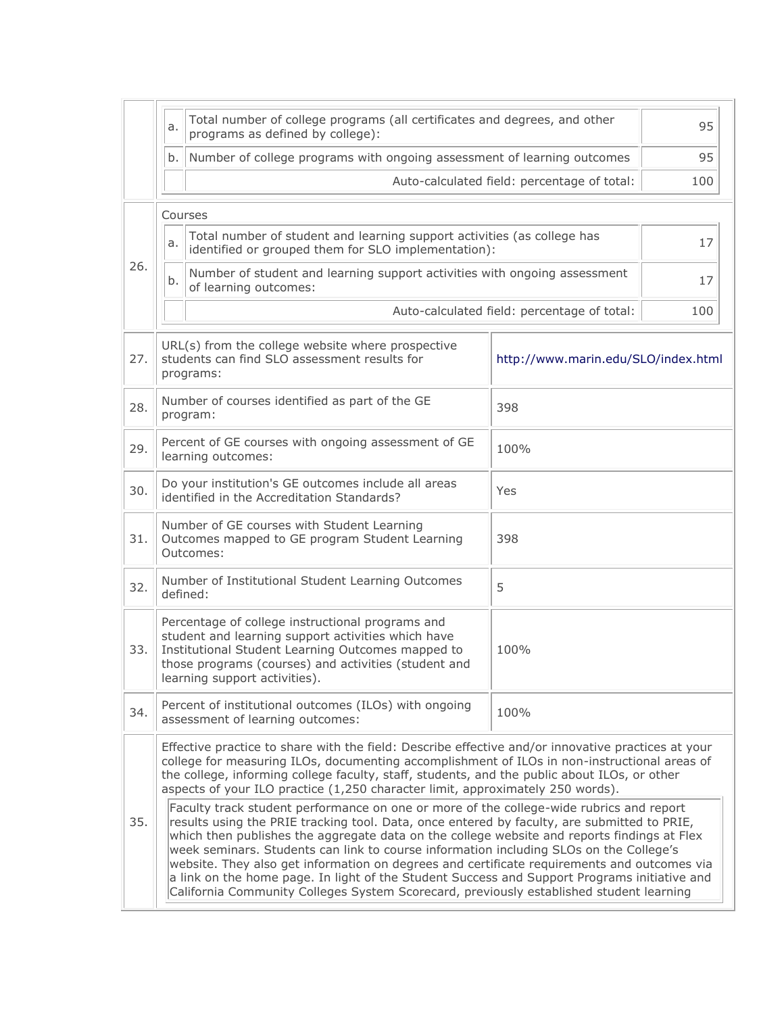|     | a.                                                                                                                                                                                                                                                                                                                                                                                                                                                                                                                                                                                                                                                                                                                                                                                                                                                                                                                                                                                                                                                                | Total number of college programs (all certificates and degrees, and other<br>95<br>programs as defined by college):            |                                             |     |
|-----|-------------------------------------------------------------------------------------------------------------------------------------------------------------------------------------------------------------------------------------------------------------------------------------------------------------------------------------------------------------------------------------------------------------------------------------------------------------------------------------------------------------------------------------------------------------------------------------------------------------------------------------------------------------------------------------------------------------------------------------------------------------------------------------------------------------------------------------------------------------------------------------------------------------------------------------------------------------------------------------------------------------------------------------------------------------------|--------------------------------------------------------------------------------------------------------------------------------|---------------------------------------------|-----|
|     | b.<br>Number of college programs with ongoing assessment of learning outcomes                                                                                                                                                                                                                                                                                                                                                                                                                                                                                                                                                                                                                                                                                                                                                                                                                                                                                                                                                                                     |                                                                                                                                |                                             | 95  |
|     | Auto-calculated field: percentage of total:                                                                                                                                                                                                                                                                                                                                                                                                                                                                                                                                                                                                                                                                                                                                                                                                                                                                                                                                                                                                                       |                                                                                                                                |                                             |     |
|     | Courses                                                                                                                                                                                                                                                                                                                                                                                                                                                                                                                                                                                                                                                                                                                                                                                                                                                                                                                                                                                                                                                           |                                                                                                                                |                                             |     |
|     | a.                                                                                                                                                                                                                                                                                                                                                                                                                                                                                                                                                                                                                                                                                                                                                                                                                                                                                                                                                                                                                                                                | Total number of student and learning support activities (as college has<br>identified or grouped them for SLO implementation): |                                             | 17  |
| 26. | b.                                                                                                                                                                                                                                                                                                                                                                                                                                                                                                                                                                                                                                                                                                                                                                                                                                                                                                                                                                                                                                                                | Number of student and learning support activities with ongoing assessment<br>of learning outcomes:                             |                                             | 17  |
|     |                                                                                                                                                                                                                                                                                                                                                                                                                                                                                                                                                                                                                                                                                                                                                                                                                                                                                                                                                                                                                                                                   |                                                                                                                                | Auto-calculated field: percentage of total: | 100 |
| 27. |                                                                                                                                                                                                                                                                                                                                                                                                                                                                                                                                                                                                                                                                                                                                                                                                                                                                                                                                                                                                                                                                   | URL(s) from the college website where prospective<br>students can find SLO assessment results for<br>programs:                 | http://www.marin.edu/SLO/index.html         |     |
| 28. |                                                                                                                                                                                                                                                                                                                                                                                                                                                                                                                                                                                                                                                                                                                                                                                                                                                                                                                                                                                                                                                                   | Number of courses identified as part of the GE<br>program:                                                                     | 398                                         |     |
| 29. | Percent of GE courses with ongoing assessment of GE<br>100%<br>learning outcomes:                                                                                                                                                                                                                                                                                                                                                                                                                                                                                                                                                                                                                                                                                                                                                                                                                                                                                                                                                                                 |                                                                                                                                |                                             |     |
| 30. | Do your institution's GE outcomes include all areas<br>Yes<br>identified in the Accreditation Standards?                                                                                                                                                                                                                                                                                                                                                                                                                                                                                                                                                                                                                                                                                                                                                                                                                                                                                                                                                          |                                                                                                                                |                                             |     |
| 31. | Number of GE courses with Student Learning<br>Outcomes mapped to GE program Student Learning<br>398<br>Outcomes:                                                                                                                                                                                                                                                                                                                                                                                                                                                                                                                                                                                                                                                                                                                                                                                                                                                                                                                                                  |                                                                                                                                |                                             |     |
| 32. | Number of Institutional Student Learning Outcomes<br>5<br>defined:                                                                                                                                                                                                                                                                                                                                                                                                                                                                                                                                                                                                                                                                                                                                                                                                                                                                                                                                                                                                |                                                                                                                                |                                             |     |
| 33. | Percentage of college instructional programs and<br>student and learning support activities which have<br>Institutional Student Learning Outcomes mapped to<br>100%<br>those programs (courses) and activities (student and<br>learning support activities).                                                                                                                                                                                                                                                                                                                                                                                                                                                                                                                                                                                                                                                                                                                                                                                                      |                                                                                                                                |                                             |     |
| 34. | Percent of institutional outcomes (ILOs) with ongoing<br>100%<br>assessment of learning outcomes:                                                                                                                                                                                                                                                                                                                                                                                                                                                                                                                                                                                                                                                                                                                                                                                                                                                                                                                                                                 |                                                                                                                                |                                             |     |
| 35. | Effective practice to share with the field: Describe effective and/or innovative practices at your<br>college for measuring ILOs, documenting accomplishment of ILOs in non-instructional areas of<br>the college, informing college faculty, staff, students, and the public about ILOs, or other<br>aspects of your ILO practice (1,250 character limit, approximately 250 words).<br>Faculty track student performance on one or more of the college-wide rubrics and report<br>results using the PRIE tracking tool. Data, once entered by faculty, are submitted to PRIE,<br>which then publishes the aggregate data on the college website and reports findings at Flex<br>week seminars. Students can link to course information including SLOs on the College's<br>website. They also get information on degrees and certificate requirements and outcomes via<br>a link on the home page. In light of the Student Success and Support Programs initiative and<br>California Community Colleges System Scorecard, previously established student learning |                                                                                                                                |                                             |     |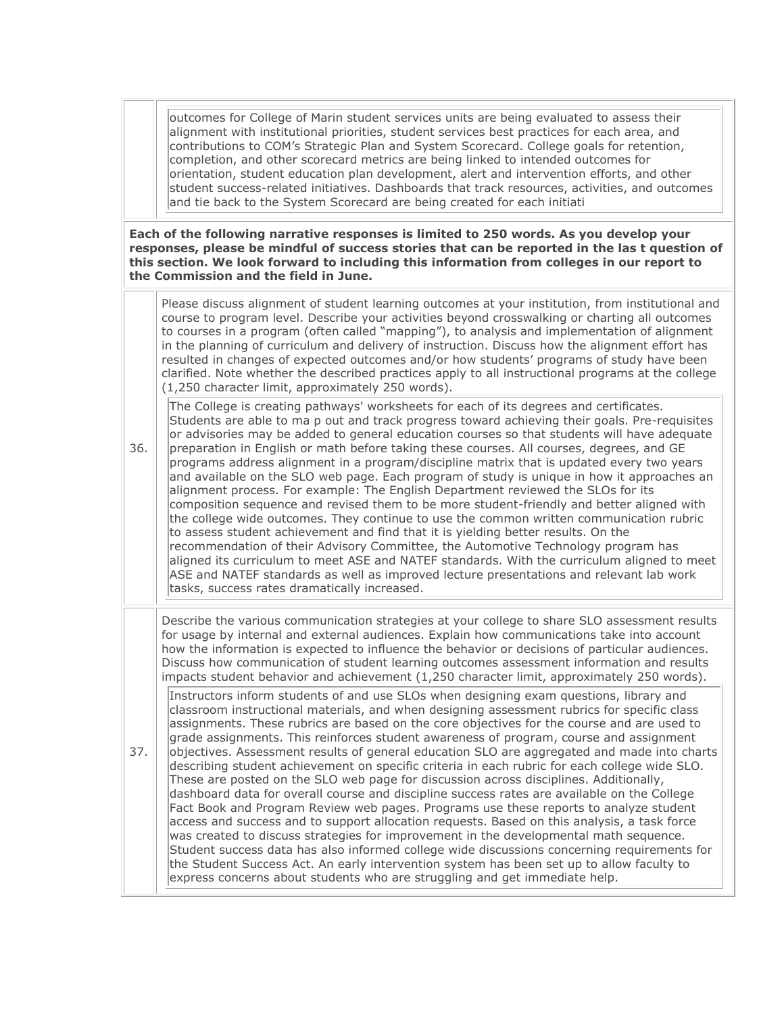outcomes for College of Marin student services units are being evaluated to assess their alignment with institutional priorities, student services best practices for each area, and contributions to COM's Strategic Plan and System Scorecard. College goals for retention, completion, and other scorecard metrics are being linked to intended outcomes for orientation, student education plan development, alert and intervention efforts, and other student success-related initiatives. Dashboards that track resources, activities, and outcomes and tie back to the System Scorecard are being created for each initiati

**Each of the following narrative responses is limited to 250 words. As you develop your responses, please be mindful of success stories that can be reported in the las t question of this section. We look forward to including this information from colleges in our report to the Commission and the field in June.**

| 36. | Please discuss alignment of student learning outcomes at your institution, from institutional and<br>course to program level. Describe your activities beyond crosswalking or charting all outcomes<br>to courses in a program (often called "mapping"), to analysis and implementation of alignment<br>in the planning of curriculum and delivery of instruction. Discuss how the alignment effort has<br>resulted in changes of expected outcomes and/or how students' programs of study have been<br>clarified. Note whether the described practices apply to all instructional programs at the college<br>(1,250 character limit, approximately 250 words).                                                                                                                                                                                                                                                                                                                                                                                                                                                                                                                                                                                                                                                                  |
|-----|----------------------------------------------------------------------------------------------------------------------------------------------------------------------------------------------------------------------------------------------------------------------------------------------------------------------------------------------------------------------------------------------------------------------------------------------------------------------------------------------------------------------------------------------------------------------------------------------------------------------------------------------------------------------------------------------------------------------------------------------------------------------------------------------------------------------------------------------------------------------------------------------------------------------------------------------------------------------------------------------------------------------------------------------------------------------------------------------------------------------------------------------------------------------------------------------------------------------------------------------------------------------------------------------------------------------------------|
|     | The College is creating pathways' worksheets for each of its degrees and certificates.<br>Students are able to ma p out and track progress toward achieving their goals. Pre-requisites<br>or advisories may be added to general education courses so that students will have adequate<br>preparation in English or math before taking these courses. All courses, degrees, and GE<br>programs address alignment in a program/discipline matrix that is updated every two years<br>and available on the SLO web page. Each program of study is unique in how it approaches an<br>alignment process. For example: The English Department reviewed the SLOs for its<br>composition sequence and revised them to be more student-friendly and better aligned with<br>the college wide outcomes. They continue to use the common written communication rubric<br>to assess student achievement and find that it is yielding better results. On the<br>recommendation of their Advisory Committee, the Automotive Technology program has<br>aligned its curriculum to meet ASE and NATEF standards. With the curriculum aligned to meet<br>ASE and NATEF standards as well as improved lecture presentations and relevant lab work<br>tasks, success rates dramatically increased.                                                    |
|     | Describe the various communication strategies at your college to share SLO assessment results<br>for usage by internal and external audiences. Explain how communications take into account<br>how the information is expected to influence the behavior or decisions of particular audiences.<br>Discuss how communication of student learning outcomes assessment information and results<br>impacts student behavior and achievement (1,250 character limit, approximately 250 words).                                                                                                                                                                                                                                                                                                                                                                                                                                                                                                                                                                                                                                                                                                                                                                                                                                        |
| 37. | Instructors inform students of and use SLOs when designing exam questions, library and<br>classroom instructional materials, and when designing assessment rubrics for specific class<br>assignments. These rubrics are based on the core objectives for the course and are used to<br>grade assignments. This reinforces student awareness of program, course and assignment<br>objectives. Assessment results of general education SLO are aggregated and made into charts<br>describing student achievement on specific criteria in each rubric for each college wide SLO.<br>These are posted on the SLO web page for discussion across disciplines. Additionally,<br>dashboard data for overall course and discipline success rates are available on the College<br>Fact Book and Program Review web pages. Programs use these reports to analyze student<br>access and success and to support allocation requests. Based on this analysis, a task force<br>was created to discuss strategies for improvement in the developmental math sequence.<br>Student success data has also informed college wide discussions concerning requirements for<br>the Student Success Act. An early intervention system has been set up to allow faculty to<br>express concerns about students who are struggling and get immediate help. |
|     |                                                                                                                                                                                                                                                                                                                                                                                                                                                                                                                                                                                                                                                                                                                                                                                                                                                                                                                                                                                                                                                                                                                                                                                                                                                                                                                                  |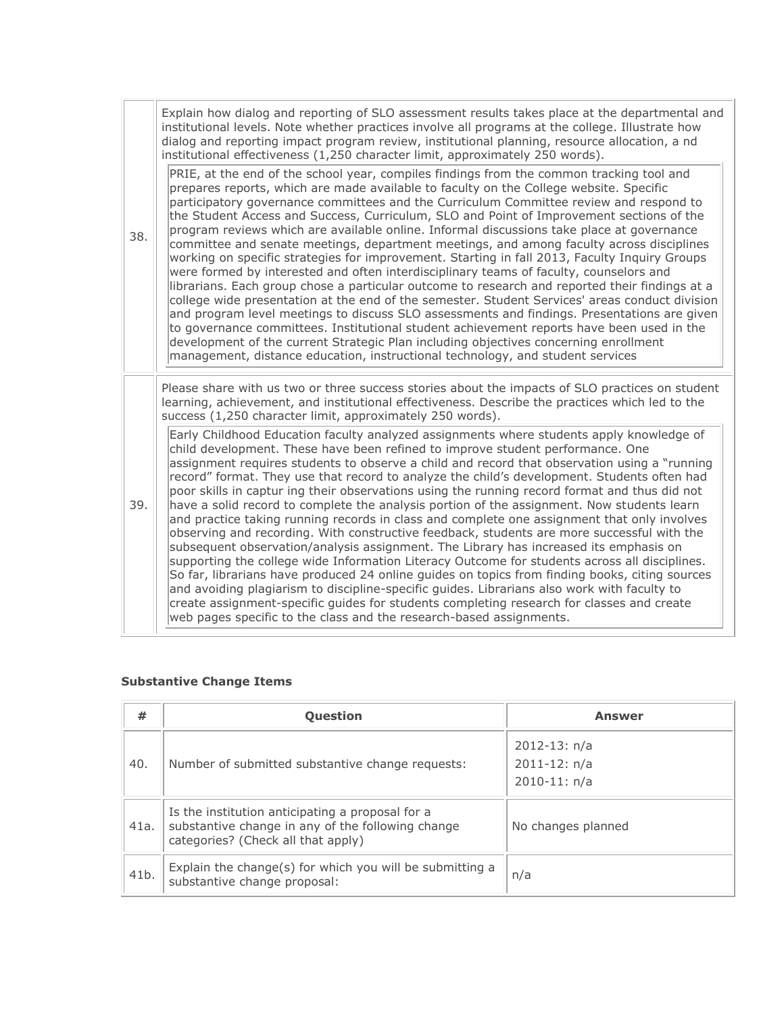|     | Explain how dialog and reporting of SLO assessment results takes place at the departmental and<br>institutional levels. Note whether practices involve all programs at the college. Illustrate how<br>dialog and reporting impact program review, institutional planning, resource allocation, a nd<br>institutional effectiveness (1,250 character limit, approximately 250 words).                                                                                                                                                                                                                                                                                                                                                                                                                                                                                                                                                                                                                                                                                                                                                                                                                                                                                                                                                   |
|-----|----------------------------------------------------------------------------------------------------------------------------------------------------------------------------------------------------------------------------------------------------------------------------------------------------------------------------------------------------------------------------------------------------------------------------------------------------------------------------------------------------------------------------------------------------------------------------------------------------------------------------------------------------------------------------------------------------------------------------------------------------------------------------------------------------------------------------------------------------------------------------------------------------------------------------------------------------------------------------------------------------------------------------------------------------------------------------------------------------------------------------------------------------------------------------------------------------------------------------------------------------------------------------------------------------------------------------------------|
| 38. | PRIE, at the end of the school year, compiles findings from the common tracking tool and<br>prepares reports, which are made available to faculty on the College website. Specific<br>participatory governance committees and the Curriculum Committee review and respond to<br>the Student Access and Success, Curriculum, SLO and Point of Improvement sections of the<br>program reviews which are available online. Informal discussions take place at governance<br>committee and senate meetings, department meetings, and among faculty across disciplines<br>working on specific strategies for improvement. Starting in fall 2013, Faculty Inquiry Groups<br>were formed by interested and often interdisciplinary teams of faculty, counselors and<br>librarians. Each group chose a particular outcome to research and reported their findings at a<br>college wide presentation at the end of the semester. Student Services' areas conduct division<br>and program level meetings to discuss SLO assessments and findings. Presentations are given<br>to governance committees. Institutional student achievement reports have been used in the<br>development of the current Strategic Plan including objectives concerning enrollment<br>management, distance education, instructional technology, and student services |
|     | Please share with us two or three success stories about the impacts of SLO practices on student<br>learning, achievement, and institutional effectiveness. Describe the practices which led to the<br>success (1,250 character limit, approximately 250 words).                                                                                                                                                                                                                                                                                                                                                                                                                                                                                                                                                                                                                                                                                                                                                                                                                                                                                                                                                                                                                                                                        |
| 39. | Early Childhood Education faculty analyzed assignments where students apply knowledge of<br>child development. These have been refined to improve student performance. One<br>assignment requires students to observe a child and record that observation using a "running<br>record" format. They use that record to analyze the child's development. Students often had<br>poor skills in captur ing their observations using the running record format and thus did not<br>have a solid record to complete the analysis portion of the assignment. Now students learn<br>and practice taking running records in class and complete one assignment that only involves<br>observing and recording. With constructive feedback, students are more successful with the<br>subsequent observation/analysis assignment. The Library has increased its emphasis on<br>supporting the college wide Information Literacy Outcome for students across all disciplines.<br>So far, librarians have produced 24 online guides on topics from finding books, citing sources<br>and avoiding plagiarism to discipline-specific guides. Librarians also work with faculty to<br>create assignment-specific guides for students completing research for classes and create<br>web pages specific to the class and the research-based assignments.   |

## **Substantive Change Items**

| #    | Question                                                                                                                                    | <b>Answer</b>                                            |
|------|---------------------------------------------------------------------------------------------------------------------------------------------|----------------------------------------------------------|
| 40.  | Number of submitted substantive change requests:                                                                                            | $2012 - 13: n/a$<br>$2011 - 12: n/a$<br>$2010 - 11: n/a$ |
| 41a. | Is the institution anticipating a proposal for a<br>substantive change in any of the following change<br>categories? (Check all that apply) | No changes planned                                       |
| 41b. | Explain the change(s) for which you will be submitting a<br>substantive change proposal:                                                    | n/a                                                      |